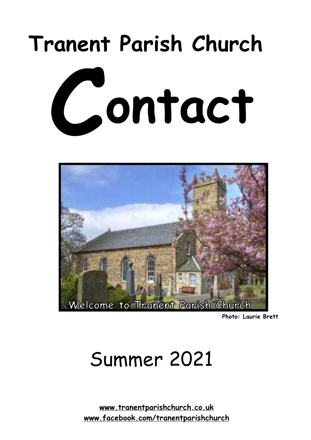# **Tranent Parish Church**





**Photo: Laurie Brett**

# Summer 2021

**[www.tranentparishchurch.co.uk](http://www.tranentparishchurch.co.uk) [www.facebook.com/tranentparishchurch](http://www.facebook.com/tranentparishchurch)**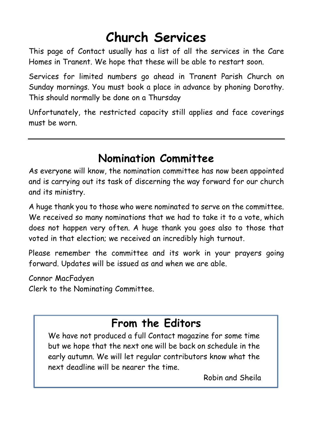# **Church Services**

This page of Contact usually has a list of all the services in the Care Homes in Tranent. We hope that these will be able to restart soon.

Services for limited numbers go ahead in Tranent Parish Church on Sunday mornings. You must book a place in advance by phoning Dorothy. This should normally be done on a Thursday

Unfortunately, the restricted capacity still applies and face coverings must be worn.

### **Nomination Committee**

As everyone will know, the nomination committee has now been appointed and is carrying out its task of discerning the way forward for our church and its ministry.

A huge thank you to those who were nominated to serve on the committee. We received so many nominations that we had to take it to a vote, which does not happen very often. A huge thank you goes also to those that voted in that election; we received an incredibly high turnout.

Please remember the committee and its work in your prayers going forward. Updates will be issued as and when we are able.

Connor MacFadyen Clerk to the Nominating Committee.

# **From the Editors**

We have not produced a full Contact magazine for some time but we hope that the next one will be back on schedule in the early autumn. We will let regular contributors know what the next deadline will be nearer the time.

Robin and Sheila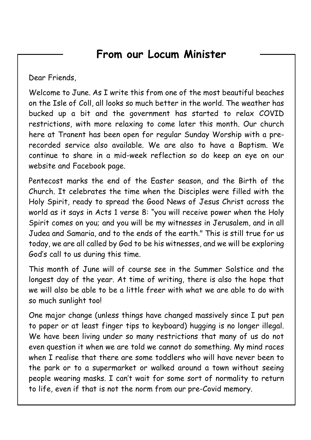### **From our Locum Minister**

Dear Friends,

Welcome to June. As I write this from one of the most beautiful beaches on the Isle of Coll, all looks so much better in the world. The weather has bucked up a bit and the government has started to relax COVID restrictions, with more relaxing to come later this month. Our church here at Tranent has been open for regular Sunday Worship with a prerecorded service also available. We are also to have a Baptism. We continue to share in a mid-week reflection so do keep an eye on our website and Facebook page.

Pentecost marks the end of the Easter season, and the Birth of the Church. It celebrates the time when the Disciples were filled with the Holy Spirit, ready to spread the Good News of Jesus Christ across the world as it says in Acts 1 verse 8: "you will receive power when the Holy Spirit comes on you; and you will be my witnesses in Jerusalem, and in all Judea and Samaria, and to the ends of the earth." This is still true for us today, we are all called by God to be his witnesses, and we will be exploring God's call to us during this time.

This month of June will of course see in the Summer Solstice and the longest day of the year. At time of writing, there is also the hope that we will also be able to be a little freer with what we are able to do with so much sunlight too!

One major change (unless things have changed massively since I put pen to paper or at least finger tips to keyboard) hugging is no longer illegal. We have been living under so many restrictions that many of us do not even question it when we are told we cannot do something. My mind races when I realise that there are some toddlers who will have never been to the park or to a supermarket or walked around a town without seeing people wearing masks. I can't wait for some sort of normality to return to life, even if that is not the norm from our pre-Covid memory.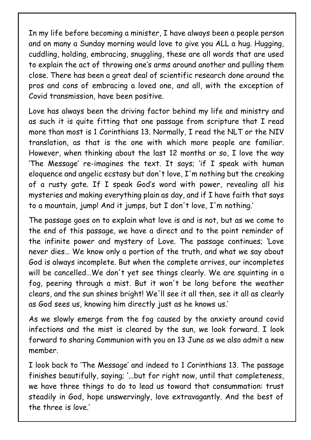In my life before becoming a minister, I have always been a people person and on many a Sunday morning would love to give you ALL a hug. Hugging, cuddling, holding, embracing, snuggling, these are all words that are used to explain the act of throwing one's arms around another and pulling them close. There has been a great deal of scientific research done around the pros and cons of embracing a loved one, and all, with the exception of Covid transmission, have been positive.

Love has always been the driving factor behind my life and ministry and as such it is quite fitting that one passage from scripture that I read more than most is 1 Corinthians 13. Normally, I read the NLT or the NIV translation, as that is the one with which more people are familiar. However, when thinking about the last 12 months or so, I love the way 'The Message' re-imagines the text. It says; 'if I speak with human eloquence and angelic ecstasy but don't love, I'm nothing but the creaking of a rusty gate. If I speak God's word with power, revealing all his mysteries and making everything plain as day, and if I have faith that says to a mountain, jump! And it jumps, but I don't love, I'm nothing.'

The passage goes on to explain what love is and is not, but as we come to the end of this passage, we have a direct and to the point reminder of the infinite power and mystery of Love. The passage continues; 'Love never dies… We know only a portion of the truth, and what we say about God is always incomplete. But when the complete arrives, our incompletes will be cancelled…We don't yet see things clearly. We are squinting in a fog, peering through a mist. But it won't be long before the weather clears, and the sun shines bright! We'll see it all then, see it all as clearly as God sees us, knowing him directly just as he knows us.'

As we slowly emerge from the fog caused by the anxiety around covid infections and the mist is cleared by the sun, we look forward. I look forward to sharing Communion with you on 13 June as we also admit a new member.

I look back to 'The Message' and indeed to 1 Corinthians 13. The passage finishes beautifully, saying; '...but for right now, until that completeness, we have three things to do to lead us toward that consummation: trust steadily in God, hope unswervingly, love extravagantly. And the best of the three is love.'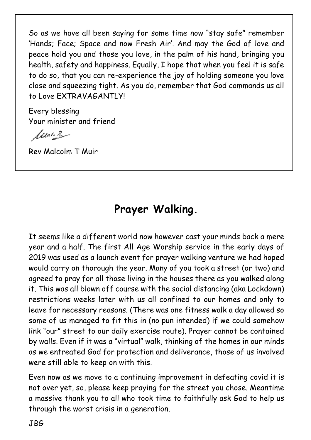So as we have all been saying for some time now "stay safe" remember 'Hands; Face; Space and now Fresh Air'. And may the God of love and peace hold you and those you love, in the palm of his hand, bringing you health, safety and happiness. Equally, I hope that when you feel it is safe to do so, that you can re-experience the joy of holding someone you love close and squeezing tight. As you do, remember that God commands us all to Love EXTRAVAGANTLY!

Every blessing Your minister and friend

function

Rev Malcolm T Muir

# **Prayer Walking.**

It seems like a different world now however cast your minds back a mere year and a half. The first All Age Worship service in the early days of 2019 was used as a launch event for prayer walking venture we had hoped would carry on thorough the year. Many of you took a street (or two) and agreed to pray for all those living in the houses there as you walked along it. This was all blown off course with the social distancing (aka Lockdown) restrictions weeks later with us all confined to our homes and only to leave for necessary reasons. (There was one fitness walk a day allowed so some of us managed to fit this in (no pun intended) if we could somehow link "our" street to our daily exercise route). Prayer cannot be contained by walls. Even if it was a "virtual" walk, thinking of the homes in our minds as we entreated God for protection and deliverance, those of us involved were still able to keep on with this.

Even now as we move to a continuing improvement in defeating covid it is not over yet, so, please keep praying for the street you chose. Meantime a massive thank you to all who took time to faithfully ask God to help us through the worst crisis in a generation.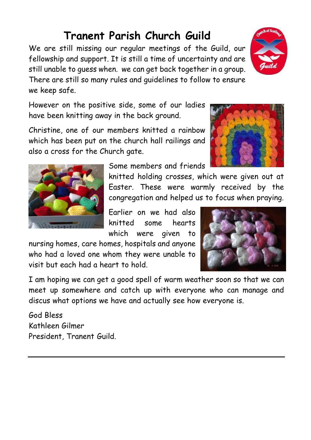# **Tranent Parish Church Guild**

We are still missing our regular meetings of the Guild, our fellowship and support. It is still a time of uncertainty and are still unable to guess when. we can get back together in a group. There are still so many rules and guidelines to follow to ensure we keep safe.

However on the positive side, some of our ladies have been knitting away in the back ground.

Christine, one of our members knitted a rainbow which has been put on the church hall railings and also a cross for the Church gate.

Some members and friends

knitted holding crosses, which were given out at Easter. These were warmly received by the congregation and helped us to focus when praying.

Earlier on we had also knitted some hearts which were given to

nursing homes, care homes, hospitals and anyone who had a loved one whom they were unable to visit but each had a heart to hold.

I am hoping we can get a good spell of warm weather soon so that we can meet up somewhere and catch up with everyone who can manage and discus what options we have and actually see how everyone is.

God Bless Kathleen Gilmer President, Tranent Guild.







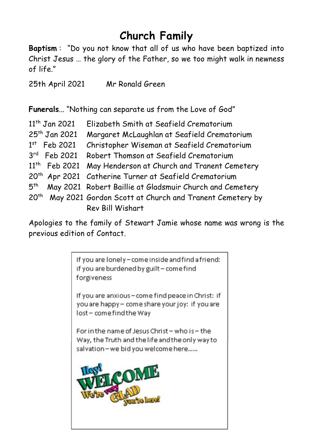# **Church Family**

**Baptism** : "Do you not know that all of us who have been baptized into Christ Jesus … the glory of the Father, so we too might walk in newness of life."

25th April 2021 Mr Ronald Green

**Funerals**... "Nothing can separate us from the Love of God"

|                  | 11 <sup>th</sup> Jan 2021 | Elizabeth Smith at Seafield Crematorium                                  |
|------------------|---------------------------|--------------------------------------------------------------------------|
|                  | 25 <sup>th</sup> Jan 2021 | Margaret McLaughlan at Seafield Crematorium                              |
|                  | $1st$ Feb 2021            | Christopher Wiseman at Seafield Crematorium                              |
|                  | $3rd$ Feb 2021            | Robert Thomson at Seafield Crematorium                                   |
|                  |                           | 11 <sup>th</sup> Feb 2021 May Henderson at Church and Tranent Cemetery   |
|                  |                           | 20 <sup>th</sup> Apr 2021 Catherine Turner at Seafield Crematorium       |
|                  |                           | 5 <sup>th</sup> May 2021 Robert Baillie at Gladsmuir Church and Cemetery |
| 20 <sup>th</sup> |                           | May 2021 Gordon Scott at Church and Tranent Cemetery by                  |
|                  |                           | Rev Bill Wishart                                                         |

Apologies to the family of Stewart Jamie whose name was wrong is the previous edition of Contact.

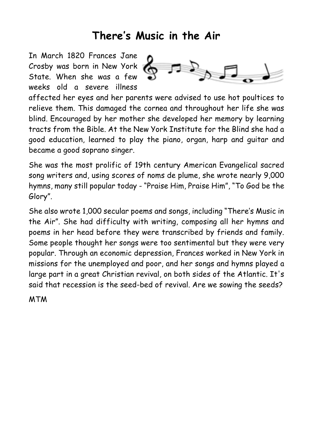### **There's Music in the Air**

In March 1820 Frances Jane Crosby was born in New York State. When she was a few weeks old a severe illness



affected her eyes and her parents were advised to use hot poultices to relieve them. This damaged the cornea and throughout her life she was blind. Encouraged by her mother she developed her memory by learning tracts from the Bible. At the New York Institute for the Blind she had a good education, learned to play the piano, organ, harp and guitar and became a good soprano singer.

She was the most prolific of 19th century American Evangelical sacred song writers and, using scores of noms de plume, she wrote nearly 9,000 hymns, many still popular today - "Praise Him, Praise Him", "To God be the Glory".

She also wrote 1,000 secular poems and songs, including "There's Music in the Air". She had difficulty with writing, composing all her hymns and poems in her head before they were transcribed by friends and family. Some people thought her songs were too sentimental but they were very popular. Through an economic depression, Frances worked in New York in missions for the unemployed and poor, and her songs and hymns played a large part in a great Christian revival, on both sides of the Atlantic. It's said that recession is the seed-bed of revival. Are we sowing the seeds?

MTM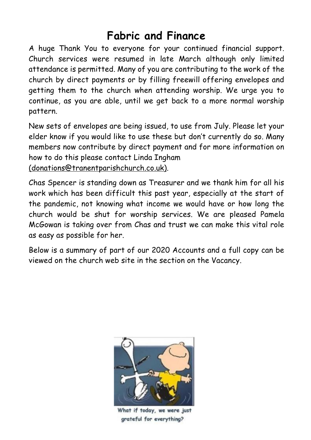# **Fabric and Finance**

A huge Thank You to everyone for your continued financial support. Church services were resumed in late March although only limited attendance is permitted. Many of you are contributing to the work of the church by direct payments or by filling freewill offering envelopes and getting them to the church when attending worship. We urge you to continue, as you are able, until we get back to a more normal worship pattern.

New sets of envelopes are being issued, to use from July. Please let your elder know if you would like to use these but don't currently do so. Many members now contribute by direct payment and for more information on how to do this please contact Linda Ingham [\(donations@tranentparishchurch.co.uk\)](mailto:(donations@tranentparishchurch.co.uk)).

Chas Spencer is standing down as Treasurer and we thank him for all his work which has been difficult this past year, especially at the start of the pandemic, not knowing what income we would have or how long the church would be shut for worship services. We are pleased Pamela McGowan is taking over from Chas and trust we can make this vital role as easy as possible for her.

Below is a summary of part of our 2020 Accounts and a full copy can be viewed on the church web site in the section on the Vacancy.



What if today, we were just grateful for everything?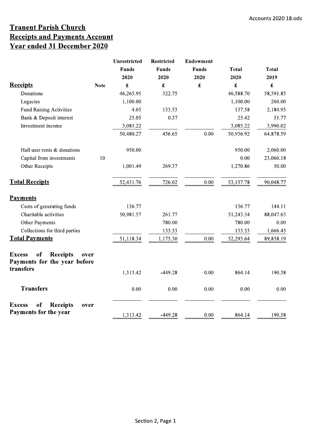#### **Tranent Parish Church Receipts and Payments Account** Year ended 31 December 2020

|                                                                                | <b>Unrestricted</b><br><b>Funds</b><br>2020 | <b>Restricted</b><br><b>Funds</b><br>2020 | Endowment<br><b>Funds</b><br>2020 | <b>Total</b><br>2020 | <b>Total</b><br>2019 |
|--------------------------------------------------------------------------------|---------------------------------------------|-------------------------------------------|-----------------------------------|----------------------|----------------------|
| <b>Receipts</b><br><b>Note</b>                                                 | £                                           | £                                         | £                                 | £                    | $\pmb{\pounds}$      |
| Donations                                                                      | 46,265.95                                   | 322.75                                    |                                   | 46,588.70            | 58,391.85            |
| Legacies                                                                       | 1,100.00                                    |                                           |                                   | 1,100.00             | 260.00               |
| <b>Fund Raising Activities</b>                                                 | 4.05                                        | 133.53                                    |                                   | 137.58               | 2,184.95             |
| Bank & Deposit interest                                                        | 25.05                                       | 0.37                                      |                                   | 25.42                | 51.77                |
| Investment income                                                              | 3,085.22                                    |                                           |                                   | 3,085.22             | 3,990.02             |
|                                                                                | 50,480.27                                   | 456.65                                    | 0.00                              | 50,936.92            | 64,878.59            |
| Hall user rents & donations                                                    | 950.00                                      |                                           |                                   | 950.00               | 2,060.00             |
| 10<br>Capital from investments                                                 |                                             |                                           |                                   | 0.00                 | 23,060.18            |
| Other Receipts                                                                 | 1,001.49                                    | 269.37                                    |                                   | 1,270.86             | 50.00                |
| <b>Total Receipts</b>                                                          | 52,431.76                                   | 726.02                                    | 0.00                              | 53,157.78            | 90,048.77            |
| <b>Payments</b>                                                                |                                             |                                           |                                   |                      |                      |
| Costs of generating funds                                                      | 136.77                                      |                                           |                                   | 136.77               | 144.11               |
| Charitable activities                                                          | 50,981.57                                   | 261.77                                    |                                   | 51,243.34            | 88,047.63            |
| Other Payments                                                                 |                                             | 780.00                                    |                                   | 780.00               | 0.00                 |
| Collections for third parties                                                  |                                             | 133.53                                    |                                   | 133.53               | 1,666.45             |
| <b>Total Payments</b>                                                          | 51,118.34                                   | 1,175.30                                  | $0.00\,$                          | 52,293.64            | 89,858.19            |
| <b>Receipts</b><br><b>Excess</b><br>of<br>over<br>Payments for the year before |                                             |                                           |                                   |                      |                      |
| transfers                                                                      | 1,313.42                                    | -449.28                                   | 0.00                              | 864.14               | 190.58               |
| <b>Transfers</b>                                                               | 0.00                                        | 0.00                                      | 0.00                              | 0.00                 | 0.00                 |
| of<br><b>Receipts</b><br><b>Excess</b><br>over                                 |                                             |                                           |                                   |                      |                      |
| Payments for the year                                                          | 1,313.42                                    | $-449.28$                                 | 0.00                              | 864.14               | 190.58               |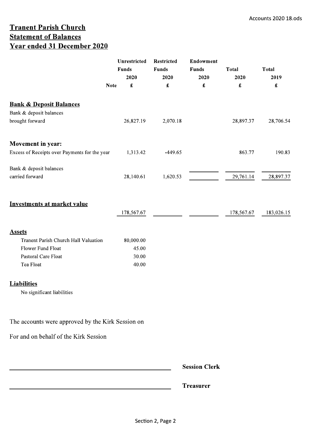#### **Tranent Parish Church Statement of Balances** Year ended 31 December 2020

| <b>Note</b>                                       | Unrestricted<br><b>Funds</b><br>2020<br>$\pmb{\mathfrak{L}}$ | <b>Restricted</b><br><b>Funds</b><br>2020<br>$\pmb{\pmb{\pmb{\pmb{\cdot}}} }$ | Endowment<br><b>Funds</b><br>2020 | <b>Total</b><br>2020<br>$\pmb{\pmb{\pmb{\pmb{\epsilon}}}}$ | <b>Total</b><br>2019<br>$\pmb{\mathfrak{L}}$ |
|---------------------------------------------------|--------------------------------------------------------------|-------------------------------------------------------------------------------|-----------------------------------|------------------------------------------------------------|----------------------------------------------|
| <b>Bank &amp; Deposit Balances</b>                |                                                              |                                                                               |                                   |                                                            |                                              |
| Bank & deposit balances                           |                                                              |                                                                               |                                   |                                                            |                                              |
| brought forward                                   | 26,827.19                                                    | 2,070.18                                                                      |                                   | 28,897.37                                                  | 28,706.54                                    |
| <b>Movement in year:</b>                          |                                                              |                                                                               |                                   |                                                            |                                              |
| Excess of Receipts over Payments for the year     | 1,313.42                                                     | $-449.65$                                                                     |                                   | 863.77                                                     | 190.83                                       |
| Bank & deposit balances                           |                                                              |                                                                               |                                   |                                                            |                                              |
| carried forward                                   | 28,140.61                                                    | 1,620.53                                                                      |                                   | 29,761.14                                                  | 28,897.37                                    |
| <b>Investments at market value</b>                |                                                              |                                                                               |                                   |                                                            |                                              |
|                                                   | 178,567.67                                                   |                                                                               |                                   | 178,567.67                                                 | 183,026.15                                   |
| <b>Assets</b>                                     |                                                              |                                                                               |                                   |                                                            |                                              |
| Tranent Parish Church Hall Valuation              | 80,000.00                                                    |                                                                               |                                   |                                                            |                                              |
| Flower Fund Float                                 | 45.00                                                        |                                                                               |                                   |                                                            |                                              |
| Pastoral Care Float                               | 30.00                                                        |                                                                               |                                   |                                                            |                                              |
| Tea Float                                         | 40.00                                                        |                                                                               |                                   |                                                            |                                              |
| <b>Liabilities</b>                                |                                                              |                                                                               |                                   |                                                            |                                              |
| No significant liabilities                        |                                                              |                                                                               |                                   |                                                            |                                              |
|                                                   |                                                              |                                                                               |                                   |                                                            |                                              |
| The accounts were approved by the Kirk Session on |                                                              |                                                                               |                                   |                                                            |                                              |
| For and on behalf of the Kirk Session             |                                                              |                                                                               |                                   |                                                            |                                              |
|                                                   |                                                              |                                                                               |                                   |                                                            |                                              |
|                                                   |                                                              |                                                                               | <b>Session Clerk</b>              |                                                            |                                              |
|                                                   |                                                              |                                                                               | <b>Treasurer</b>                  |                                                            |                                              |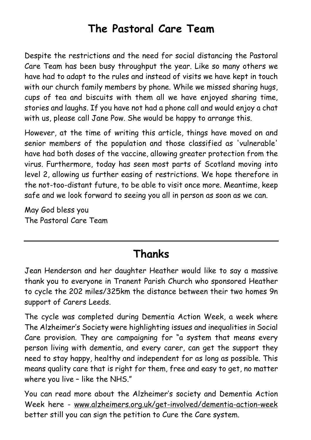# **The Pastoral Care Team**

Despite the restrictions and the need for social distancing the Pastoral Care Team has been busy throughput the year. Like so many others we have had to adapt to the rules and instead of visits we have kept in touch with our church family members by phone. While we missed sharing hugs, cups of tea and biscuits with them all we have enjoyed sharing time, stories and laughs. If you have not had a phone call and would enjoy a chat with us, please call Jane Pow. She would be happy to arrange this.

However, at the time of writing this article, things have moved on and senior members of the population and those classified as 'vulnerable' have had both doses of the vaccine, allowing greater protection from the virus. Furthermore, today has seen most parts of Scotland moving into level 2, allowing us further easing of restrictions. We hope therefore in the not-too-distant future, to be able to visit once more. Meantime, keep safe and we look forward to seeing you all in person as soon as we can.

May God bless you The Pastoral Care Team

# **Thanks**

Jean Henderson and her daughter Heather would like to say a massive thank you to everyone in Tranent Parish Church who sponsored Heather to cycle the 202 miles/325km the distance between their two homes 9n support of Carers Leeds.

The cycle was completed during Dementia Action Week, a week where The Alzheimer's Society were highlighting issues and inequalities in Social Care provision. They are campaigning for "a system that means every person living with dementia, and every carer, can get the support they need to stay happy, healthy and independent for as long as possible. This means quality care that is right for them, free and easy to get, no matter where you live - like the NHS."

You can read more about the Alzheimer's society and Dementia Action Week here - [www.alzheimers.org.uk/get-involved/dementia-action-week](http://www.alzheimers.org.uk/get-involved/dementia-action-week) better still you can sign the petition to Cure the Care system.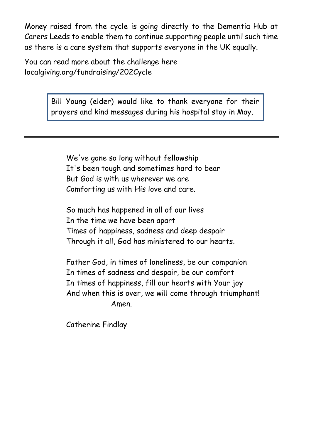Money raised from the cycle is going directly to the Dementia Hub at Carers Leeds to enable them to continue supporting people until such time as there is a care system that supports everyone in the UK equally.

You can read more about the challenge here localgiving.org/fundraising/202Cycle

> Bill Young (elder) would like to thank everyone for their prayers and kind messages during his hospital stay in May.

We've gone so long without fellowship It's been tough and sometimes hard to bear But God is with us wherever we are Comforting us with His love and care.

So much has happened in all of our lives In the time we have been apart Times of happiness, sadness and deep despair Through it all, God has ministered to our hearts.

Father God, in times of loneliness, be our companion In times of sadness and despair, be our comfort In times of happiness, fill our hearts with Your joy And when this is over, we will come through triumphant! Amen.

Catherine Findlay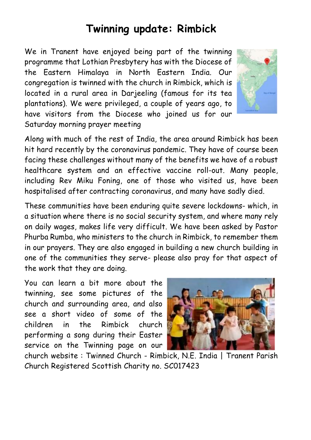# **Twinning update: Rimbick**

We in Tranent have enjoyed being part of the twinning programme that Lothian Presbytery has with the Diocese of the Eastern Himalaya in North Eastern India. Our congregation is twinned with the church in Rimbick, which is located in a rural area in Darjeeling (famous for its tea plantations). We were privileged, a couple of years ago, to have visitors from the Diocese who joined us for our Saturday morning prayer meeting



Along with much of the rest of India, the area around Rimbick has been hit hard recently by the coronavirus pandemic. They have of course been facing these challenges without many of the benefits we have of a robust healthcare system and an effective vaccine roll-out. Many people, including Rev Miku Foning, one of those who visited us, have been hospitalised after contracting coronavirus, and many have sadly died.

These communities have been enduring quite severe lockdowns- which, in a situation where there is no social security system, and where many rely on daily wages, makes life very difficult. We have been asked by Pastor Phurba Rumba, who ministers to the church in Rimbick, to remember them in our prayers. They are also engaged in building a new church building in one of the communities they serve- please also pray for that aspect of the work that they are doing.

You can learn a bit more about the twinning, see some pictures of the church and surrounding area, and also see a short video of some of the children in the Rimbick church performing a song during their Easter service on the Twinning page on our



church website : Twinned Church - Rimbick, N.E. India | Tranent Parish Church Registered Scottish Charity no. SC017423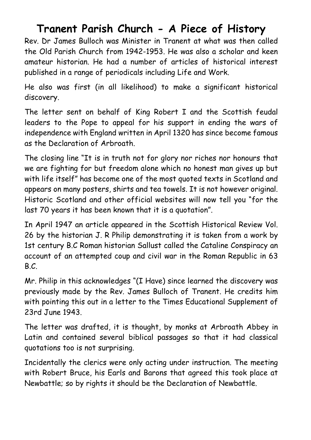### **Tranent Parish Church - A Piece of History**

Rev. Dr James Bulloch was Minister in Tranent at what was then called the Old Parish Church from 1942-1953. He was also a scholar and keen amateur historian. He had a number of articles of historical interest published in a range of periodicals including Life and Work.

He also was first (in all likelihood) to make a significant historical discovery.

The letter sent on behalf of King Robert I and the Scottish feudal leaders to the Pope to appeal for his support in ending the wars of independence with England written in April 1320 has since become famous as the Declaration of Arbroath.

The closing line "It is in truth not for glory nor riches nor honours that we are fighting for but freedom alone which no honest man gives up but with life itself" has become one of the most quoted texts in Scotland and appears on many posters, shirts and tea towels. It is not however original. Historic Scotland and other official websites will now tell you "for the last 70 years it has been known that it is a quotation".

In April 1947 an article appeared in the Scottish Historical Review Vol. 26 by the historian J. R Philip demonstrating it is taken from a work by 1st century B.C Roman historian Sallust called the Cataline Conspiracy an account of an attempted coup and civil war in the Roman Republic in 63 B.C.

Mr. Philip in this acknowledges "(I Have) since learned the discovery was previously made by the Rev. James Bulloch of Tranent. He credits him with pointing this out in a letter to the Times Educational Supplement of 23rd June 1943.

The letter was drafted, it is thought, by monks at Arbroath Abbey in Latin and contained several biblical passages so that it had classical quotations too is not surprising.

Incidentally the clerics were only acting under instruction. The meeting with Robert Bruce, his Earls and Barons that agreed this took place at Newbattle; so by rights it should be the Declaration of Newbattle.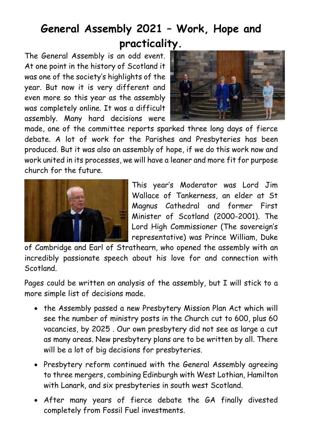# **General Assembly 2021 – Work, Hope and practicality.**

The General Assembly is an odd event. At one point in the history of Scotland it was one of the society's highlights of the year. But now it is very different and even more so this year as the assembly was completely online. It was a difficult assembly. Many hard decisions were



made, one of the committee reports sparked three long days of fierce debate. A lot of work for the Parishes and Presbyteries has been produced. But it was also an assembly of hope, if we do this work now and work united in its processes, we will have a leaner and more fit for purpose church for the future.



This year's Moderator was Lord Jim Wallace of Tankerness, an elder at St Magnus Cathedral and former First Minister of Scotland (2000-2001). The Lord High Commissioner (The sovereign's representative) was Prince William, Duke

of Cambridge and Earl of Strathearn, who opened the assembly with an incredibly passionate speech about his love for and connection with Scotland.

Pages could be written on analysis of the assembly, but I will stick to a more simple list of decisions made.

- · the Assembly passed a new Presbytery Mission Plan Act which will see the number of ministry posts in the Church cut to 600, plus 60 vacancies, by 2025 . Our own presbytery did not see as large a cut as many areas. New presbytery plans are to be written by all. There will be a lot of big decisions for presbyteries.
- · Presbytery reform continued with the General Assembly agreeing to three mergers, combining Edinburgh with West Lothian, Hamilton with Lanark, and six presbyteries in south west Scotland.
- · After many years of fierce debate the GA finally divested completely from Fossil Fuel investments.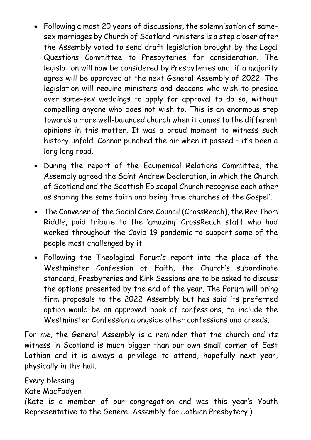- · Following almost 20 years of discussions, the solemnisation of samesex marriages by Church of Scotland ministers is a step closer after the Assembly voted to send draft legislation brought by the Legal Questions Committee to Presbyteries for consideration. The legislation will now be considered by Presbyteries and, if a majority agree will be approved at the next General Assembly of 2022. The legislation will require ministers and deacons who wish to preside over same-sex weddings to apply for approval to do so, without compelling anyone who does not wish to. This is an enormous step towards a more well-balanced church when it comes to the different opinions in this matter. It was a proud moment to witness such history unfold. Connor punched the air when it passed – it's been a long long road.
- · During the report of the Ecumenical Relations Committee, the Assembly agreed the Saint Andrew Declaration, in which the Church of Scotland and the Scottish Episcopal Church recognise each other as sharing the same faith and being 'true churches of the Gospel'.
- · The Convener of the Social Care Council (CrossReach), the Rev Thom Riddle, paid tribute to the 'amazing' CrossReach staff who had worked throughout the Covid-19 pandemic to support some of the people most challenged by it.
- · Following the Theological Forum's report into the place of the Westminster Confession of Faith, the Church's subordinate standard, Presbyteries and Kirk Sessions are to be asked to discuss the options presented by the end of the year. The Forum will bring firm proposals to the 2022 Assembly but has said its preferred option would be an approved book of confessions, to include the Westminster Confession alongside other confessions and creeds.

For me, the General Assembly is a reminder that the church and its witness in Scotland is much bigger than our own small corner of East Lothian and it is always a privilege to attend, hopefully next year, physically in the hall.

Kate MacFadyen (Kate is a member of our congregation and was this year's Youth Representative to the General Assembly for Lothian Presbytery.)

Every blessing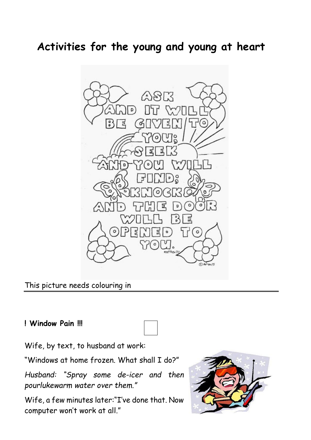# **Activities for the young and young at heart**



#### This picture needs colouring in

#### **! Window Pain !!!**



Wife, by text, to husband at work:

"Windows at home frozen. What shall I do?"

*Husband: "Spray some de-icer and then pourlukewarm water over them."* 

Wife, a few minutes later:"I've done that. Now computer won't work at all."

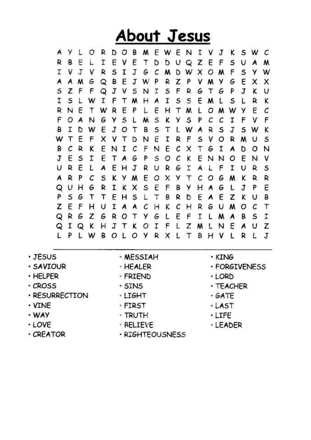# About Jesus

**AYLORDOBMEWENI**  $\mathbf{V}$  $J$ K S W C **BEL DUQZE** TEVE т s R D F U A м CMDWXOM  $F$ T V J V R S I J G S Y W QBE A M G J W P R z Ρ V M Y G E x A x S ZFF QJVS I S  $F$ R G T G P. J <sup>N</sup> K U S L I W I F T M  $H$ A I S S E M L S L R K E Ε E RNE T W R P L. HTML O M W Y C F  $5L$ S O A N G Y M Κ  $\mathbf{y}$ S P  $\mathcal{C}$ C I F ٧ F  $\mathbf{I}$ E S T J B D W J O T В - L W  $\mathsf{A}$ R S S W K W T E F X **VTD** ε R F S V O N I R M U 5 CRK ENIC NEC В F X T G Ι  $\boldsymbol{A}$ D O N  $J E S$  $\mathbf{T}$ E  $S$  O C Ė TAG P κ N<sub>N</sub> E  $\circ$ N v R E U A EHJ **RUR**  $\epsilon$ I ۴ L A L I U R s R P с S **KYMEOXY** T с  $O<sub>G</sub>$ A M K R R QUHG  $\mathbf{R}$ I K X S E H J P E F B **y**  $A$   $G$ L P  $5G$ Z т T EHS  $\mathsf{L}$ т B R D EAE K U В K C ZEF н U I A A С н R G U M O с T H Ė QRGZ F GROTY  $G$   $L$ r L  $M$  $\mathbf{A}$ В S I QIQKHJTK  $\circ$ I F L z W LN E A U Z LPLWBOLOVRXL T в  $H V$  $\mathbf{L}$ R Ł J

- · JESUS
- · SAVIOUR
- · HELPER
- $\cdot$  CROSS
- · RESURRECTION
- $\cdot$  VINE
- · WAY
- $-LOVE$
- $\cdot$  CREATOR
- · MESSIAH
- · HEALFR
- *FRIEND*
- · SINS
- · LIGHT
- · FIRST
- · TRUTH
- 
- **BELIEVE**
- · RIGHTEOUSNESS
- · KING
- · FORGIVENESS
- · LORD
- · TEACHER
- $·$  GATE
- · LAST
- $·$  LTFE
- · LEADER